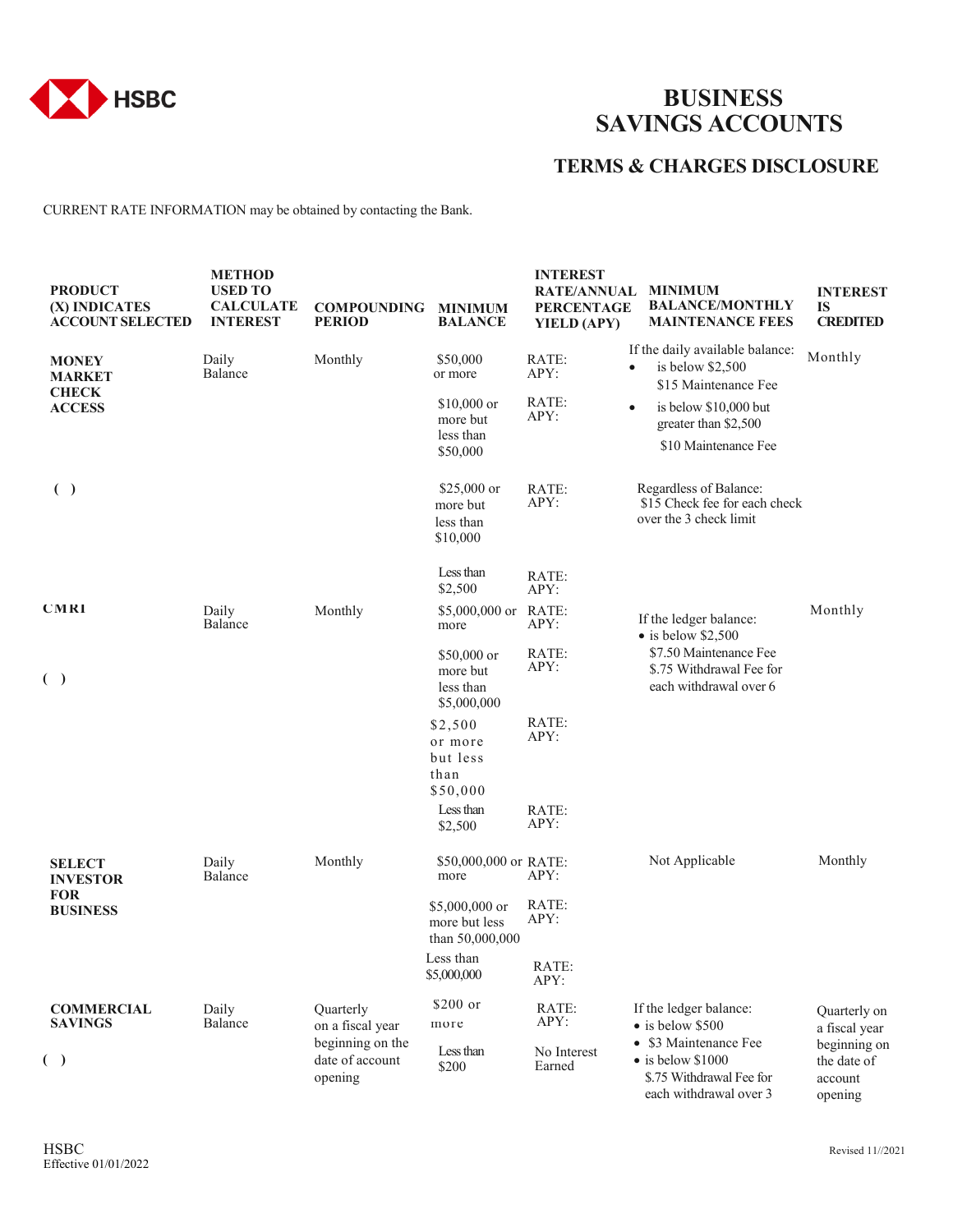

## **BUSINESS SAVINGS ACCOUNTS**

## **TERMS & CHARGES DISCLOSURE**

CURRENT RATE INFORMATION may be obtained by contacting the Bank.

| <b>PRODUCT</b><br>(X) INDICATES<br><b>ACCOUNT SELECTED</b>     | <b>METHOD</b><br><b>USED TO</b><br><b>CALCULATE</b><br><b>INTEREST</b> | <b>COMPOUNDING</b><br><b>PERIOD</b>            | <b>MINIMUM</b><br><b>BALANCE</b>                    | <b>INTEREST</b><br><b>RATE/ANNUAL</b><br><b>PERCENTAGE</b><br>YIELD (APY) | <b>MINIMUM</b><br><b>BALANCE/MONTHLY</b><br><b>MAINTENANCE FEES</b>                                                             | <b>INTEREST</b><br>IS<br><b>CREDITED</b>          |
|----------------------------------------------------------------|------------------------------------------------------------------------|------------------------------------------------|-----------------------------------------------------|---------------------------------------------------------------------------|---------------------------------------------------------------------------------------------------------------------------------|---------------------------------------------------|
| <b>MONEY</b><br><b>MARKET</b><br><b>CHECK</b><br><b>ACCESS</b> | Daily<br>Balance                                                       | Monthly                                        | \$50,000<br>or more<br>$$10,000$ or                 | RATE:<br>APY:<br>RATE:                                                    | If the daily available balance:<br>is below $$2,500$<br>$\bullet$<br>\$15 Maintenance Fee<br>is below \$10,000 but<br>$\bullet$ | Monthly                                           |
|                                                                |                                                                        |                                                | more but<br>less than<br>\$50,000                   | APY:                                                                      | greater than \$2,500<br>\$10 Maintenance Fee                                                                                    |                                                   |
| ( )                                                            |                                                                        |                                                | \$25,000 or<br>more but<br>less than<br>\$10,000    | RATE:<br>APY:                                                             | Regardless of Balance:<br>\$15 Check fee for each check<br>over the 3 check limit                                               |                                                   |
|                                                                |                                                                        |                                                | Less than<br>\$2,500                                | RATE:<br>APY:                                                             |                                                                                                                                 |                                                   |
| <b>CMRI</b>                                                    | Daily<br>Balance                                                       | Monthly                                        | $$5,000,000$ or<br>more                             | RATE:<br>APY:                                                             | If the ledger balance:<br>$\bullet$ is below \$2,500                                                                            | Monthly                                           |
| $(\ )$                                                         |                                                                        |                                                | \$50,000 or<br>more but<br>less than<br>\$5,000,000 | RATE:<br>APY:                                                             | \$7.50 Maintenance Fee<br>\$.75 Withdrawal Fee for<br>each withdrawal over 6                                                    |                                                   |
|                                                                |                                                                        |                                                | \$2,500<br>or more<br>but less<br>than<br>\$50,000  | RATE:<br>APY:                                                             |                                                                                                                                 |                                                   |
|                                                                |                                                                        |                                                | Less than<br>\$2,500                                | RATE:<br>APY:                                                             |                                                                                                                                 |                                                   |
| <b>SELECT</b><br><b>INVESTOR</b>                               | Daily<br>Balance                                                       | Monthly                                        | \$50,000,000 or RATE:<br>more                       | APY:                                                                      | Not Applicable                                                                                                                  | Monthly                                           |
| <b>FOR</b><br><b>BUSINESS</b>                                  |                                                                        |                                                | \$5,000,000 or<br>more but less<br>than 50,000,000  | RATE:<br>APY:                                                             |                                                                                                                                 |                                                   |
|                                                                |                                                                        |                                                | Less than<br>\$5,000,000                            | RATE:<br>APY:                                                             |                                                                                                                                 |                                                   |
| <b>COMMERCIAL</b><br><b>SAVINGS</b>                            | Daily<br>Balance                                                       | Quarterly<br>on a fiscal year                  | \$200 or<br>more                                    | RATE:<br>APY:                                                             | If the ledger balance:<br>• is below \$500                                                                                      | Quarterly on<br>a fiscal year                     |
| ( )                                                            |                                                                        | beginning on the<br>date of account<br>opening | Less than<br>\$200                                  | No Interest<br>Earned                                                     | • \$3 Maintenance Fee<br>$\bullet$ is below \$1000<br>\$.75 Withdrawal Fee for<br>each withdrawal over 3                        | beginning on<br>the date of<br>account<br>opening |